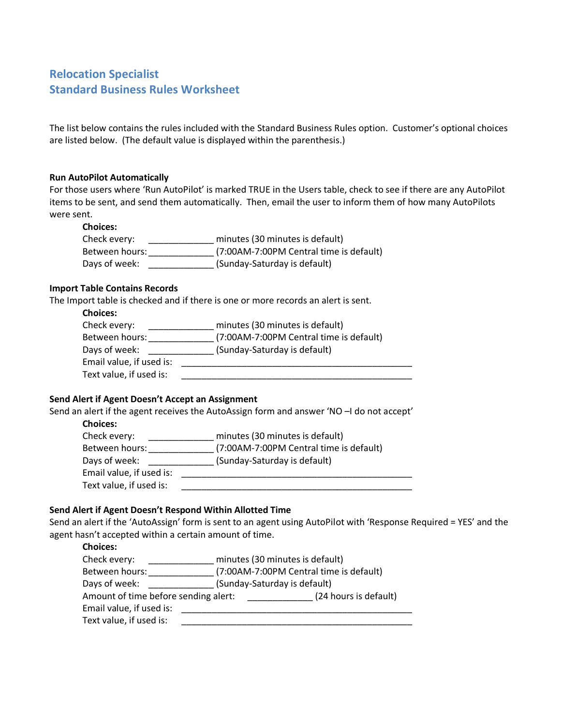# **Relocation Specialist Standard Business Rules Worksheet**

The list below contains the rules included with the Standard Business Rules option. Customer's optional choices are listed below. (The default value is displayed within the parenthesis.)

#### **Run AutoPilot Automatically**

For those users where 'Run AutoPilot' is marked TRUE in the Users table, check to see if there are any AutoPilot items to be sent, and send them automatically. Then, email the user to inform them of how many AutoPilots were sent.

#### **Choices:**

Check every: \_\_\_\_\_\_\_\_\_\_\_\_\_ minutes (30 minutes is default) Between hours: \_\_\_\_\_\_\_\_\_\_\_\_\_ (7:00AM-7:00PM Central time is default) Days of week: \_\_\_\_\_\_\_\_\_\_\_\_\_\_\_ (Sunday-Saturday is default)

#### **Import Table Contains Records**

The Import table is checked and if there is one or more records an alert is sent.

## **Choices:**

Check every: \_\_\_\_\_\_\_\_\_\_\_\_\_ minutes (30 minutes is default) Between hours: \_\_\_\_\_\_\_\_\_\_\_\_\_ (7:00AM-7:00PM Central time is default) Days of week: \_\_\_\_\_\_\_\_\_\_\_\_\_\_\_\_(Sunday-Saturday is default) Email value, if used is: \_\_\_\_\_\_\_\_\_\_\_\_\_\_\_\_\_\_\_\_\_\_\_\_\_\_\_\_\_\_\_\_\_\_\_\_\_\_\_\_\_\_\_\_\_\_ Text value, if used is:

#### **Send Alert if Agent Doesn't Accept an Assignment**

Send an alert if the agent receives the AutoAssign form and answer 'NO –I do not accept'

| <b>Choices:</b>          |                                         |
|--------------------------|-----------------------------------------|
| Check every:             | minutes (30 minutes is default)         |
| Between hours:           | (7:00AM-7:00PM Central time is default) |
| Days of week:            | (Sunday-Saturday is default)            |
| Email value, if used is: |                                         |
| Text value, if used is:  |                                         |

#### **Send Alert if Agent Doesn't Respond Within Allotted Time**

Send an alert if the 'AutoAssign' form is sent to an agent using AutoPilot with 'Response Required = YES' and the agent hasn't accepted within a certain amount of time.

### **Choices:**

| --------                             |                              |                                         |
|--------------------------------------|------------------------------|-----------------------------------------|
| Check every:                         |                              | minutes (30 minutes is default)         |
| Between hours:                       |                              | (7:00AM-7:00PM Central time is default) |
| Days of week:                        | (Sunday-Saturday is default) |                                         |
| Amount of time before sending alert: |                              | (24 hours is default)                   |
| Email value, if used is:             |                              |                                         |
| Text value, if used is:              |                              |                                         |
|                                      |                              |                                         |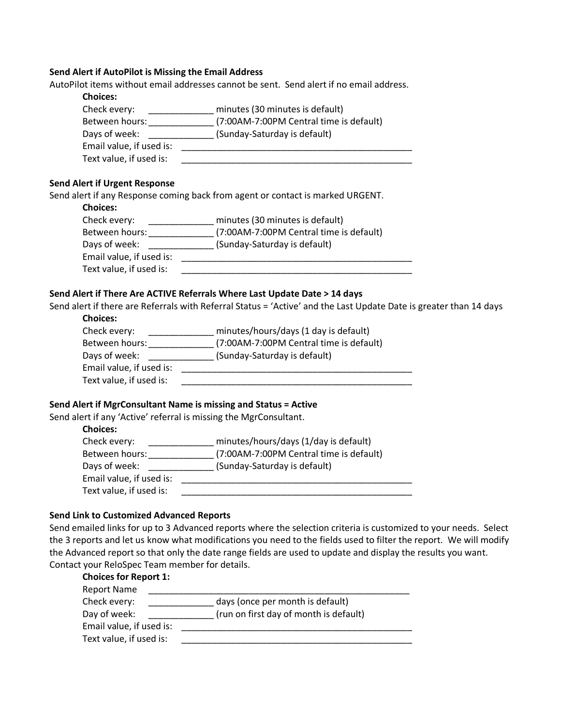#### **Send Alert if AutoPilot is Missing the Email Address**

AutoPilot items without email addresses cannot be sent. Send alert if no email address.

| Check every:             | minutes (30 minutes is default)         |
|--------------------------|-----------------------------------------|
| Between hours:           | (7:00AM-7:00PM Central time is default) |
| Days of week:            | (Sunday-Saturday is default)            |
| Email value, if used is: |                                         |
| Text value, if used is:  |                                         |

Send alert if any Response coming back from agent or contact is marked URGENT.

| <b>Choices:</b> |  |
|-----------------|--|
|                 |  |
|                 |  |

| Check every:             | minutes (30 minutes is default)         |
|--------------------------|-----------------------------------------|
| Between hours:           | (7:00AM-7:00PM Central time is default) |
| Days of week:            | (Sunday-Saturday is default)            |
| Email value, if used is: |                                         |
| Text value, if used is:  |                                         |

### **Send Alert if There Are ACTIVE Referrals Where Last Update Date > 14 days**

Send alert if there are Referrals with Referral Status = 'Active' and the Last Update Date is greater than 14 days **Choices:**

| unuus.                   |                                         |
|--------------------------|-----------------------------------------|
| Check every:             | minutes/hours/days (1 day is default)   |
| Between hours:           | (7:00AM-7:00PM Central time is default) |
| Days of week:            | (Sunday-Saturday is default)            |
| Email value, if used is: |                                         |
| Text value, if used is:  |                                         |
|                          |                                         |

#### **Send Alert if MgrConsultant Name is missing and Status = Active**

Send alert if any 'Active' referral is missing the MgrConsultant.

| --------                 |                                         |
|--------------------------|-----------------------------------------|
| Check every:             | minutes/hours/days (1/day is default)   |
| Between hours:           | (7:00AM-7:00PM Central time is default) |
| Days of week:            | (Sunday-Saturday is default)            |
| Email value, if used is: |                                         |
| Text value, if used is:  |                                         |
|                          |                                         |

#### **Send Link to Customized Advanced Reports**

Send emailed links for up to 3 Advanced reports where the selection criteria is customized to your needs. Select the 3 reports and let us know what modifications you need to the fields used to filter the report. We will modify the Advanced report so that only the date range fields are used to update and display the results you want. Contact your ReloSpec Team member for details.

| <b>Choices for Report 1:</b> |                                        |
|------------------------------|----------------------------------------|
| <b>Report Name</b>           |                                        |
| Check every:                 | days (once per month is default)       |
| Day of week:                 | (run on first day of month is default) |
| Email value, if used is:     |                                        |
| Text value, if used is:      |                                        |